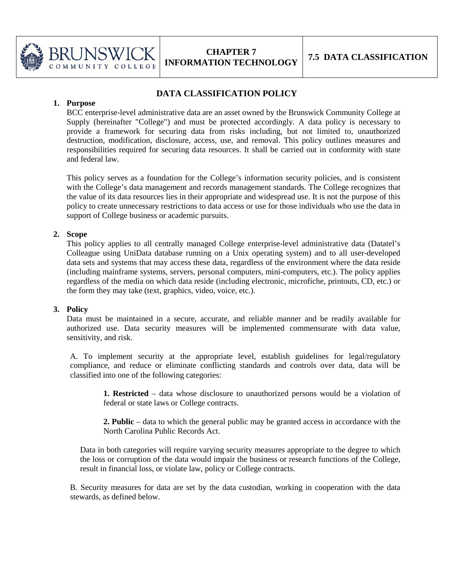

# **DATA CLASSIFICATION POLICY**

## **1. Purpose**

BCC enterprise-level administrative data are an asset owned by the Brunswick Community College at Supply (hereinafter "College") and must be protected accordingly. A data policy is necessary to provide a framework for securing data from risks including, but not limited to, unauthorized destruction, modification, disclosure, access, use, and removal. This policy outlines measures and responsibilities required for securing data resources. It shall be carried out in conformity with state and federal law.

This policy serves as a foundation for the College's information security policies, and is consistent with the College's data management and records management standards. The College recognizes that the value of its data resources lies in their appropriate and widespread use. It is not the purpose of this policy to create unnecessary restrictions to data access or use for those individuals who use the data in support of College business or academic pursuits.

### **2. Scope**

This policy applies to all centrally managed College enterprise-level administrative data (Datatel's Colleague using UniData database running on a Unix operating system) and to all user-developed data sets and systems that may access these data, regardless of the environment where the data reside (including mainframe systems, servers, personal computers, mini-computers, etc.). The policy applies regardless of the media on which data reside (including electronic, microfiche, printouts, CD, etc.) or the form they may take (text, graphics, video, voice, etc.).

## **3. Policy**

Data must be maintained in a secure, accurate, and reliable manner and be readily available for authorized use. Data security measures will be implemented commensurate with data value, sensitivity, and risk.

A. To implement security at the appropriate level, establish guidelines for legal/regulatory compliance, and reduce or eliminate conflicting standards and controls over data, data will be classified into one of the following categories:

**1. Restricted** – data whose disclosure to unauthorized persons would be a violation of federal or state laws or College contracts.

**2. Public** – data to which the general public may be granted access in accordance with the North Carolina Public Records Act.

Data in both categories will require varying security measures appropriate to the degree to which the loss or corruption of the data would impair the business or research functions of the College, result in financial loss, or violate law, policy or College contracts.

B. Security measures for data are set by the data custodian, working in cooperation with the data stewards, as defined below.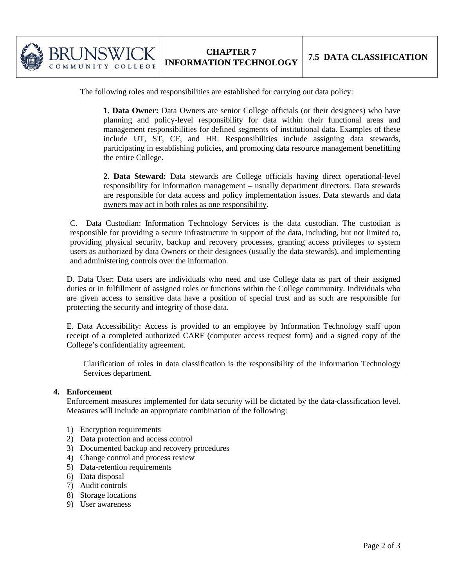

The following roles and responsibilities are established for carrying out data policy:

**1. Data Owner:** Data Owners are senior College officials (or their designees) who have planning and policy-level responsibility for data within their functional areas and management responsibilities for defined segments of institutional data. Examples of these include UT, ST, CF, and HR. Responsibilities include assigning data stewards, participating in establishing policies, and promoting data resource management benefitting the entire College.

**2. Data Steward:** Data stewards are College officials having direct operational-level responsibility for information management – usually department directors. Data stewards are responsible for data access and policy implementation issues. Data stewards and data owners may act in both roles as one responsibility.

C. Data Custodian: Information Technology Services is the data custodian. The custodian is responsible for providing a secure infrastructure in support of the data, including, but not limited to, providing physical security, backup and recovery processes, granting access privileges to system users as authorized by data Owners or their designees (usually the data stewards), and implementing and administering controls over the information.

D. Data User: Data users are individuals who need and use College data as part of their assigned duties or in fulfillment of assigned roles or functions within the College community. Individuals who are given access to sensitive data have a position of special trust and as such are responsible for protecting the security and integrity of those data.

E. Data Accessibility: Access is provided to an employee by Information Technology staff upon receipt of a completed authorized CARF (computer access request form) and a signed copy of the College's confidentiality agreement.

Clarification of roles in data classification is the responsibility of the Information Technology Services department.

### **4. Enforcement**

Enforcement measures implemented for data security will be dictated by the data-classification level. Measures will include an appropriate combination of the following:

- 1) Encryption requirements
- 2) Data protection and access control
- 3) Documented backup and recovery procedures
- 4) Change control and process review
- 5) Data-retention requirements
- 6) Data disposal
- 7) Audit controls
- 8) Storage locations
- 9) User awareness